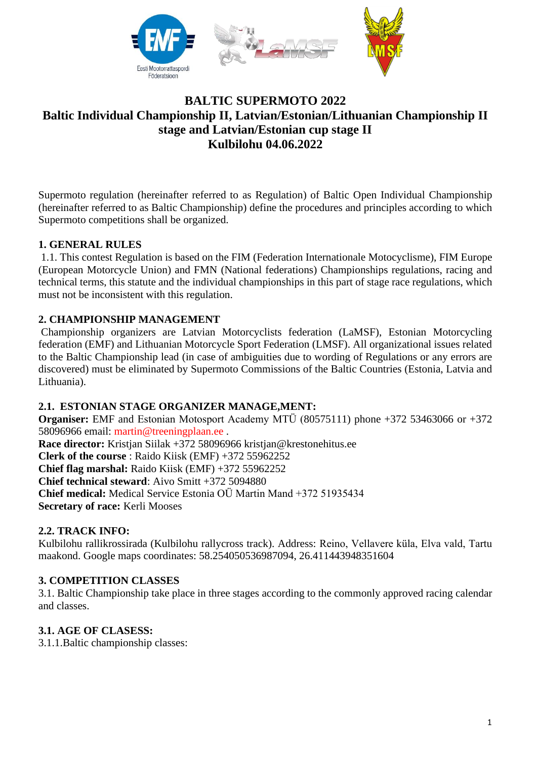

## **BALTIC SUPERMOTO 2022 Baltic Individual Championship II, Latvian/Estonian/Lithuanian Championship II stage and Latvian/Estonian cup stage II Kulbilohu 04.06.2022**

Supermoto regulation (hereinafter referred to as Regulation) of Baltic Open Individual Championship (hereinafter referred to as Baltic Championship) define the procedures and principles according to which Supermoto competitions shall be organized.

## **1. GENERAL RULES**

1.1. This contest Regulation is based on the FIM (Federation Internationale Motocyclisme), FIM Europe (European Motorcycle Union) and FMN (National federations) Championships regulations, racing and technical terms, this statute and the individual championships in this part of stage race regulations, which must not be inconsistent with this regulation.

#### **2. CHAMPIONSHIP MANAGEMENT**

Championship organizers are Latvian Motorcyclists federation (LaMSF), Estonian Motorcycling federation (EMF) and Lithuanian Motorcycle Sport Federation (LMSF). All organizational issues related to the Baltic Championship lead (in case of ambiguities due to wording of Regulations or any errors are discovered) must be eliminated by Supermoto Commissions of the Baltic Countries (Estonia, Latvia and Lithuania).

#### **2.1. ESTONIAN STAGE ORGANIZER MANAGE,MENT:**

**Organiser:** EMF and Estonian Motosport Academy MTÜ (80575111) phone +372 53463066 or +372 58096966 email: [martin@treeningplaan.ee](mailto:martin@treeningplaan.ee) . **Race director:** Kristjan Siilak +372 58096966 kristjan@krestonehitus.ee

**Clerk of the course** : Raido Kiisk (EMF) +372 55962252 **Chief flag marshal:** Raido Kiisk (EMF) +372 55962252 **Chief technical steward**: Aivo Smitt +372 5094880 **Chief medical:** Medical Service Estonia OÜ Martin Mand +372 51935434

**Secretary of race:** Kerli Mooses

#### **2.2. TRACK INFO:**

Kulbilohu rallikrossirada (Kulbilohu rallycross track). Address: Reino, Vellavere küla, Elva vald, Tartu maakond. Google maps coordinates: 58.254050536987094, 26.411443948351604

#### **3. COMPETITION CLASSES**

3.1. Baltic Championship take place in three stages according to the commonly approved racing calendar and classes.

## **3.1. AGE OF CLASESS:**

3.1.1.Baltic championship classes: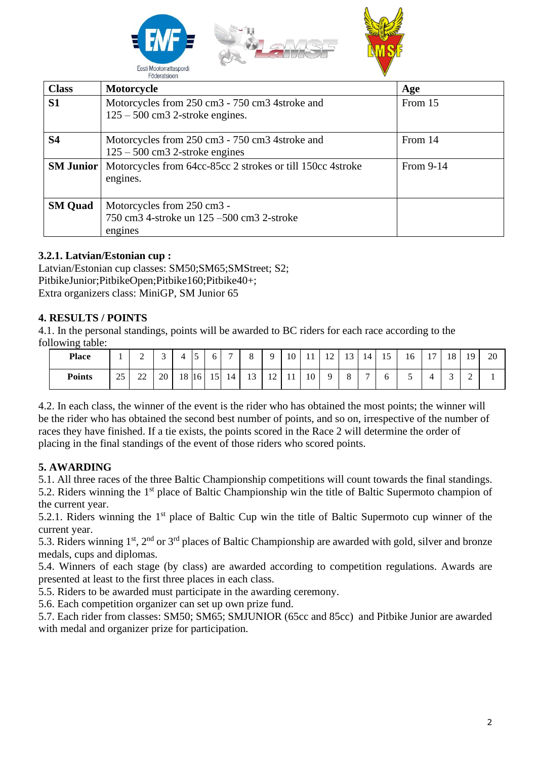

| <b>Class</b>     | Motorcycle                                                                          | Age       |
|------------------|-------------------------------------------------------------------------------------|-----------|
| S <sub>1</sub>   | Motorcycles from 250 cm3 - 750 cm3 4stroke and<br>$125 - 500$ cm3 2-stroke engines. | From 15   |
| <b>S4</b>        | Motorcycles from 250 cm3 - 750 cm3 4stroke and<br>$125 - 500$ cm3 2-stroke engines  | From 14   |
| <b>SM Junior</b> | Motorcycles from 64cc-85cc 2 strokes or till 150cc 4 stroke<br>engines.             | From 9-14 |
| <b>SM</b> Quad   | Motorcycles from 250 cm3 -<br>750 cm3 4-stroke un 125 – 500 cm3 2-stroke<br>engines |           |

## **3.2.1. Latvian/Estonian cup :**

Latvian/Estonian cup classes: SM50;SM65;SMStreet; S2; PitbikeJunior;PitbikeOpen;Pitbike160;Pitbike40+; Extra organizers class: MiniGP, SM Junior 65

#### **4. RESULTS / POINTS**

4.1. In the personal standings, points will be awarded to BC riders for each race according to the following table:

| <b>Place</b>  |                     | $\sim$<br>∸ | $\sim$<br>$\overline{\phantom{0}}$ | 4     | $\overline{\phantom{0}}$<br>C | O. | $\overline{\phantom{0}}$ | 8  | $\mathbf Q$                  | 10 <sup>1</sup> | 11 | 12 | 13       | 14             | $\overline{\phantom{0}}$<br>15 | 16 | $\overline{ }$<br>$\perp$ | 18 | 19     | 20 |
|---------------|---------------------|-------------|------------------------------------|-------|-------------------------------|----|--------------------------|----|------------------------------|-----------------|----|----|----------|----------------|--------------------------------|----|---------------------------|----|--------|----|
| <b>Points</b> | $\cap \Gamma$<br>رے | າາ<br>∠∠    | 20                                 | 18 16 |                               | 15 | 14 <sup>1</sup>          | 13 | $1^{\circ}$<br>$\frac{1}{2}$ | $\pm$           | 10 | Q  | $\Omega$ | $\overline{a}$ | O                              | ັ  |                           | ⌒  | ⌒<br>- |    |

4.2. In each class, the winner of the event is the rider who has obtained the most points; the winner will be the rider who has obtained the second best number of points, and so on, irrespective of the number of races they have finished. If a tie exists, the points scored in the Race 2 will determine the order of placing in the final standings of the event of those riders who scored points.

## **5. AWARDING**

5.1. All three races of the three Baltic Championship competitions will count towards the final standings.

5.2. Riders winning the 1<sup>st</sup> place of Baltic Championship win the title of Baltic Supermoto champion of the current year.

5.2.1. Riders winning the 1<sup>st</sup> place of Baltic Cup win the title of Baltic Supermoto cup winner of the current year.

5.3. Riders winning  $1<sup>st</sup>$ ,  $2<sup>nd</sup>$  or  $3<sup>rd</sup>$  places of Baltic Championship are awarded with gold, silver and bronze medals, cups and diplomas.

5.4. Winners of each stage (by class) are awarded according to competition regulations. Awards are presented at least to the first three places in each class.

5.5. Riders to be awarded must participate in the awarding ceremony.

5.6. Each competition organizer can set up own prize fund.

5.7. Each rider from classes: SM50; SM65; SMJUNIOR (65cc and 85cc) and Pitbike Junior are awarded with medal and organizer prize for participation.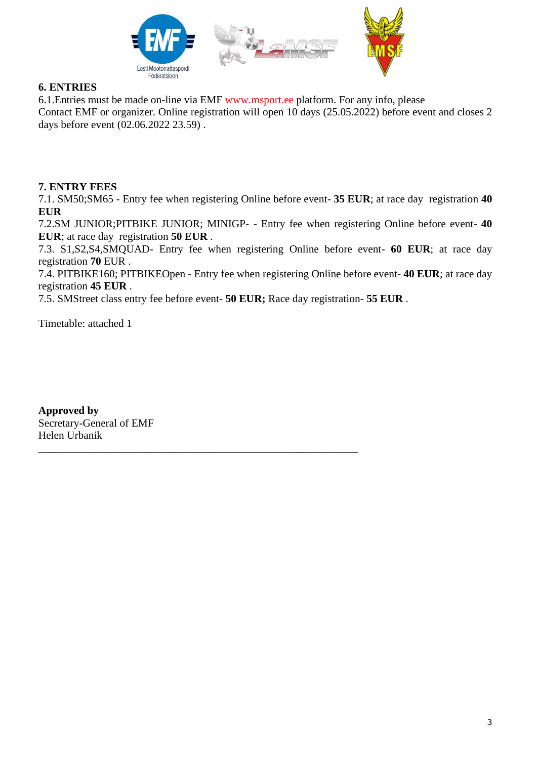

#### **6. ENTRIES**

6.1.Entries must be made on-line via EMF [www.msport.ee](http://www.msport.ee/) platform. For any info, please Contact EMF or organizer. Online registration will open 10 days (25.05.2022) before event and closes 2 days before event (02.06.2022 23.59) .

#### **7. ENTRY FEES**

7.1. SM50;SM65 - Entry fee when registering Online before event- **35 EUR**; at race day registration **40 EUR**

7.2.SM JUNIOR;PITBIKE JUNIOR; MINIGP- - Entry fee when registering Online before event- **40 EUR**; at race day registration **50 EUR** .

7.3. S1,S2,S4,SMQUAD- Entry fee when registering Online before event- **60 EUR**; at race day registration **70** EUR .

7.4. PITBIKE160; PITBIKEOpen - Entry fee when registering Online before event- **40 EUR**; at race day registration **45 EUR** .

7.5. SMStreet class entry fee before event- **50 EUR;** Race day registration- **55 EUR** .

\_\_\_\_\_\_\_\_\_\_\_\_\_\_\_\_\_\_\_\_\_\_\_\_\_\_\_\_\_\_\_\_\_\_\_\_\_\_\_\_\_\_\_\_\_\_\_\_\_\_\_\_\_\_\_\_\_\_\_

Timetable: attached 1

**Approved by** Secretary-General of EMF Helen Urbanik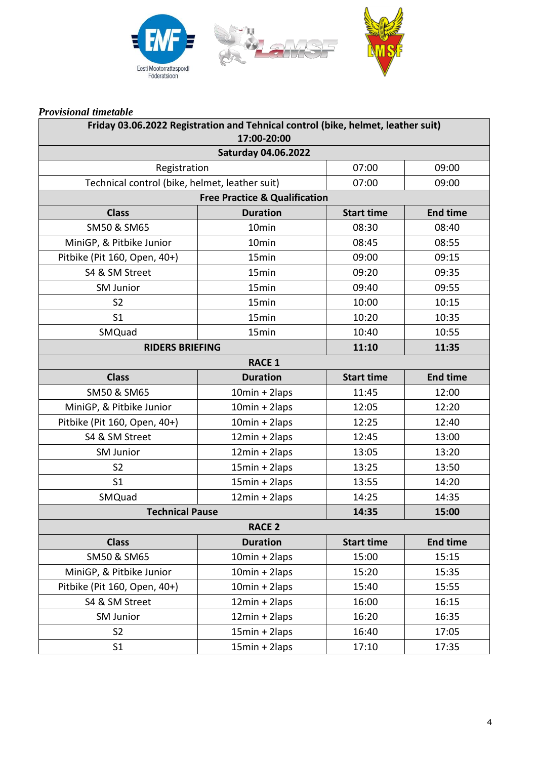

#### *Provisional timetable*

| Friday 03.06.2022 Registration and Tehnical control (bike, helmet, leather suit)<br>17:00-20:00 |                  |                   |                 |  |  |  |  |  |  |
|-------------------------------------------------------------------------------------------------|------------------|-------------------|-----------------|--|--|--|--|--|--|
| <b>Saturday 04.06.2022</b>                                                                      |                  |                   |                 |  |  |  |  |  |  |
| Registration                                                                                    | 07:00            | 09:00             |                 |  |  |  |  |  |  |
| Technical control (bike, helmet, leather suit)                                                  | 07:00            | 09:00             |                 |  |  |  |  |  |  |
| <b>Free Practice &amp; Qualification</b>                                                        |                  |                   |                 |  |  |  |  |  |  |
| <b>Class</b>                                                                                    | <b>Duration</b>  | <b>Start time</b> | <b>End time</b> |  |  |  |  |  |  |
| SM50 & SM65                                                                                     | 10min            | 08:30             | 08:40           |  |  |  |  |  |  |
| MiniGP, & Pitbike Junior                                                                        | 10min            | 08:45             | 08:55           |  |  |  |  |  |  |
| Pitbike (Pit 160, Open, 40+)                                                                    | 15min            | 09:00             | 09:15           |  |  |  |  |  |  |
| S4 & SM Street                                                                                  | 15min            | 09:20             | 09:35           |  |  |  |  |  |  |
| <b>SM Junior</b>                                                                                | 15min            | 09:40             | 09:55           |  |  |  |  |  |  |
| S <sub>2</sub>                                                                                  | 15min            | 10:00             | 10:15           |  |  |  |  |  |  |
| S <sub>1</sub>                                                                                  | 15min            | 10:20             | 10:35           |  |  |  |  |  |  |
| SMQuad                                                                                          | 15min            | 10:40             | 10:55           |  |  |  |  |  |  |
| <b>RIDERS BRIEFING</b>                                                                          | 11:10            | 11:35             |                 |  |  |  |  |  |  |
|                                                                                                 | <b>RACE 1</b>    |                   |                 |  |  |  |  |  |  |
| <b>Class</b>                                                                                    | <b>Duration</b>  | <b>Start time</b> | <b>End time</b> |  |  |  |  |  |  |
| SM50 & SM65                                                                                     | $10min + 2laps$  | 11:45             | 12:00           |  |  |  |  |  |  |
| MiniGP, & Pitbike Junior                                                                        | $10min + 2laps$  | 12:05             | 12:20           |  |  |  |  |  |  |
| Pitbike (Pit 160, Open, 40+)                                                                    | $10min + 2laps$  | 12:25             | 12:40           |  |  |  |  |  |  |
| S4 & SM Street                                                                                  | $12min + 2laps$  | 12:45             | 13:00           |  |  |  |  |  |  |
| <b>SM Junior</b>                                                                                | $12min + 2laps$  | 13:05             | 13:20           |  |  |  |  |  |  |
| S <sub>2</sub>                                                                                  | $15min + 2laps$  | 13:25             | 13:50           |  |  |  |  |  |  |
| S <sub>1</sub>                                                                                  | $15min + 2laps$  | 13:55             | 14:20           |  |  |  |  |  |  |
| SMQuad                                                                                          | $12min + 2laps$  | 14:25             | 14:35           |  |  |  |  |  |  |
| <b>Technical Pause</b>                                                                          |                  | 14:35             | 15:00           |  |  |  |  |  |  |
| <b>RACE 2</b>                                                                                   |                  |                   |                 |  |  |  |  |  |  |
| <b>Class</b>                                                                                    | <b>Duration</b>  | <b>Start time</b> | <b>End time</b> |  |  |  |  |  |  |
| SM50 & SM65                                                                                     | $10min + 2laps$  | 15:00             | 15:15           |  |  |  |  |  |  |
| MiniGP, & Pitbike Junior                                                                        | $10min + 2laps$  | 15:20             | 15:35           |  |  |  |  |  |  |
| Pitbike (Pit 160, Open, 40+)                                                                    | $10min + 2laps$  | 15:40             | 15:55           |  |  |  |  |  |  |
| S4 & SM Street                                                                                  | $12min + 2$ laps | 16:00             | 16:15           |  |  |  |  |  |  |
| <b>SM Junior</b>                                                                                | $12min + 2$ laps | 16:20             | 16:35           |  |  |  |  |  |  |
| S <sub>2</sub>                                                                                  | $15min + 2$ laps | 16:40             | 17:05           |  |  |  |  |  |  |
| S <sub>1</sub>                                                                                  | $15min + 2$ laps | 17:10             | 17:35           |  |  |  |  |  |  |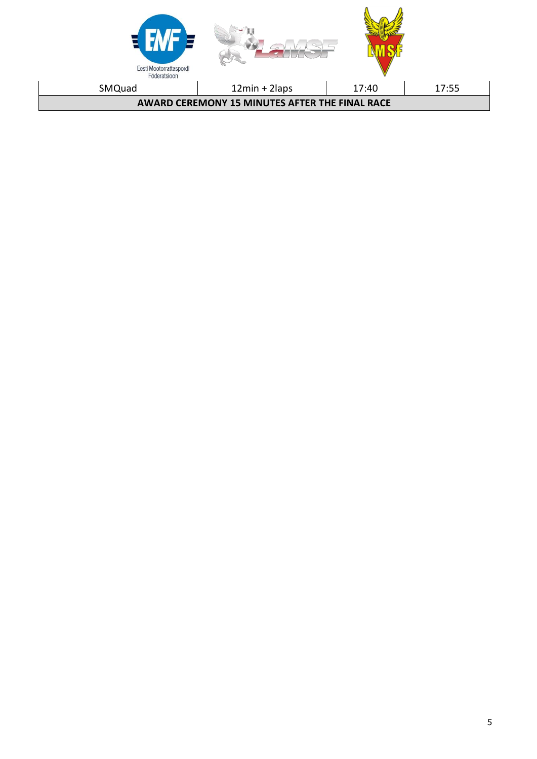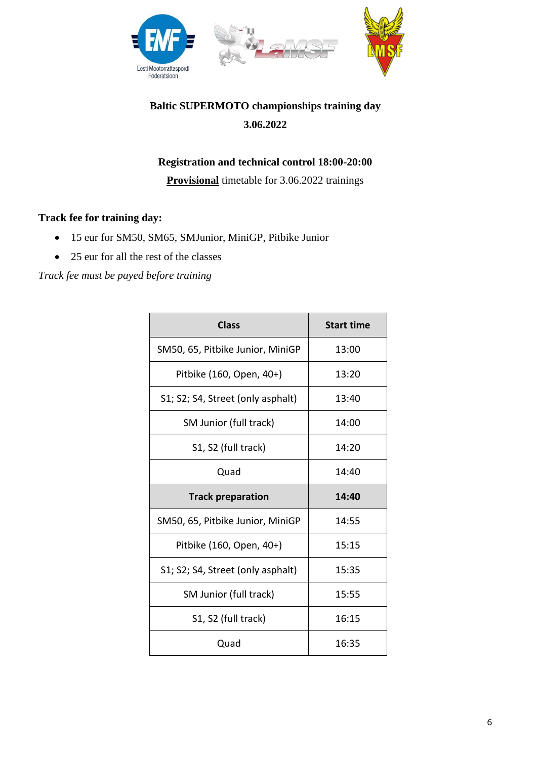

# **Baltic SUPERMOTO championships training day 3.06.2022**

## **Registration and technical control 18:00-20:00**

**Provisional** timetable for 3.06.2022 trainings

## **Track fee for training day:**

- 15 eur for SM50, SM65, SMJunior, MiniGP, Pitbike Junior
- 25 eur for all the rest of the classes

*Track fee must be payed before training*

| <b>Class</b>                      | <b>Start time</b> |
|-----------------------------------|-------------------|
| SM50, 65, Pitbike Junior, MiniGP  | 13:00             |
| Pitbike (160, Open, 40+)          | 13:20             |
| S1; S2; S4, Street (only asphalt) | 13:40             |
| SM Junior (full track)            | 14:00             |
| S1, S2 (full track)               | 14:20             |
| Quad                              | 14:40             |
|                                   |                   |
| <b>Track preparation</b>          | 14:40             |
| SM50, 65, Pitbike Junior, MiniGP  | 14:55             |
| Pitbike (160, Open, 40+)          | 15:15             |
| S1; S2; S4, Street (only asphalt) | 15:35             |
| SM Junior (full track)            | 15:55             |
| S1, S2 (full track)               | 16:15             |